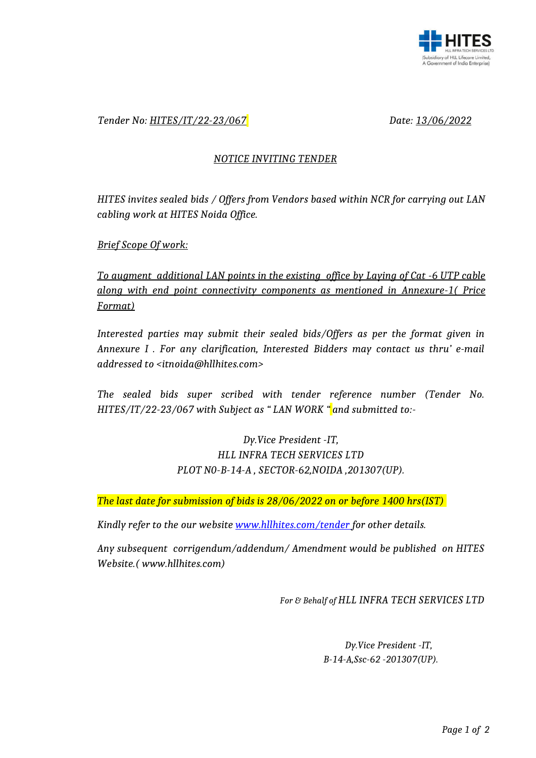

### *Tender No: HITES/IT/22-23/067 Date: 13/06/2022*

#### *NOTICE INVITING TENDER*

*HITES invites sealed bids / Offers from Vendors based within NCR for carrying out LAN cabling work at HITES Noida Office.*

*Brief Scope Of work:*

*To augment additional LAN points in the existing office by Laying of Cat -6 UTP cable along with end point connectivity components as mentioned in Annexure-1( Price Format)*

*Interested parties may submit their sealed bids/Offers as per the format given in Annexure I . For any clarification, Interested Bidders may contact us thru' e-mail addressed to <itnoida@hllhites.com>*

*The sealed bids super scribed with tender reference number (Tender No. HITES/IT/22-23/067 with Subject as " LAN WORK " and submitted to:-*

## *Dy.Vice President -IT, HLL INFRA TECH SERVICES LTD PLOT N0-B-14-A , SECTOR-62,NOIDA ,201307(UP).*

*The last date for submission of bids is 28/06/2022 on or before 1400 hrs(IST)* 

*Kindly refer to the our website [www.hllhites.com/tender](http://www.hllhites.com/tender) for other details.*

*Any subsequent corrigendum/addendum/ Amendment would be published on HITES Website.( www.hllhites.com)*

*For & Behalf of HLL INFRA TECH SERVICES LTD*

*Dy.Vice President -IT, B-14-A,Ssc-62 -201307(UP).*